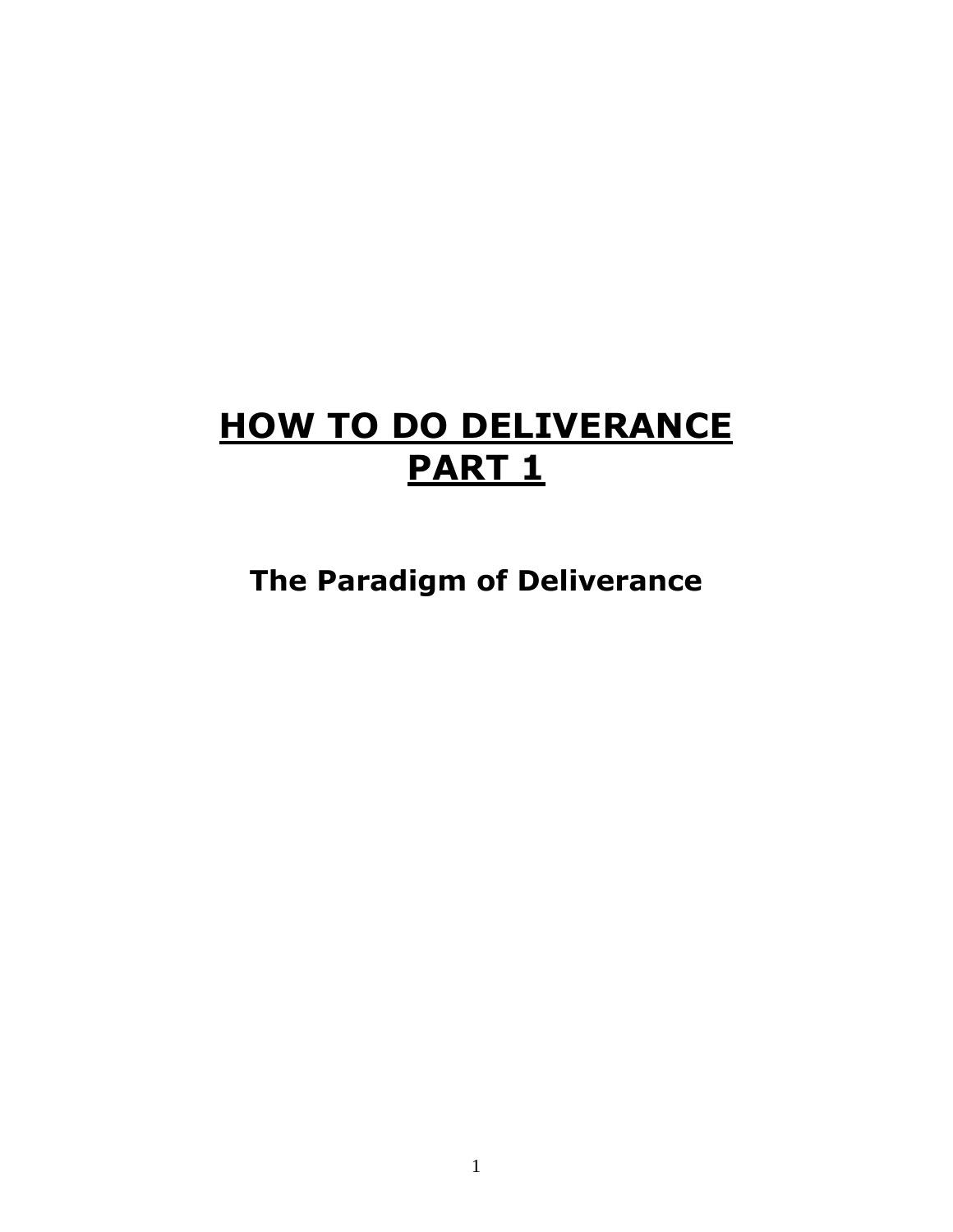# **HOW TO DO DELIVERANCE PART 1**

**The Paradigm of Deliverance**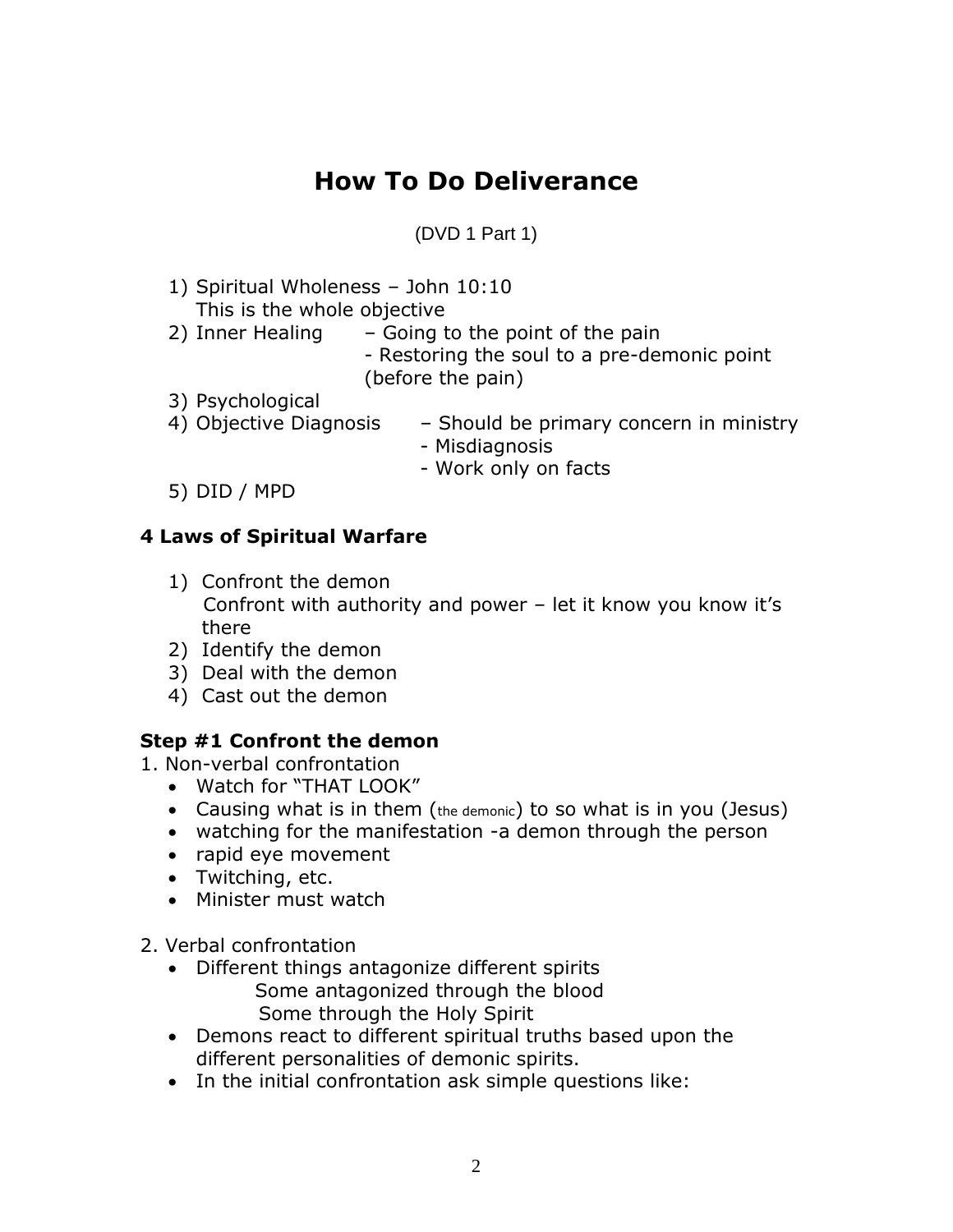# **How To Do Deliverance**

(DVD 1 Part 1)

- 1) Spiritual Wholeness John 10:10 This is the whole objective 2) Inner Healing  $-$  Going to the point of the pain - Restoring the soul to a pre-demonic point (before the pain) 3) Psychological 4) Objective Diagnosis – Should be primary concern in ministry - Misdiagnosis - Work only on facts
- 5) DID / MPD

# **4 Laws of Spiritual Warfare**

- 1) Confront the demon Confront with authority and power – let it know you know it's there
- 2) Identify the demon
- 3) Deal with the demon
- 4) Cast out the demon

# **Step #1 Confront the demon**

- 1. Non-verbal confrontation
	- Watch for "THAT LOOK"
	- Causing what is in them (the demonic) to so what is in you (Jesus)
	- watching for the manifestation -a demon through the person
	- rapid eye movement
	- Twitching, etc.
	- Minister must watch
- 2. Verbal confrontation
	- Different things antagonize different spirits Some antagonized through the blood Some through the Holy Spirit
	- Demons react to different spiritual truths based upon the different personalities of demonic spirits.
	- In the initial confrontation ask simple questions like: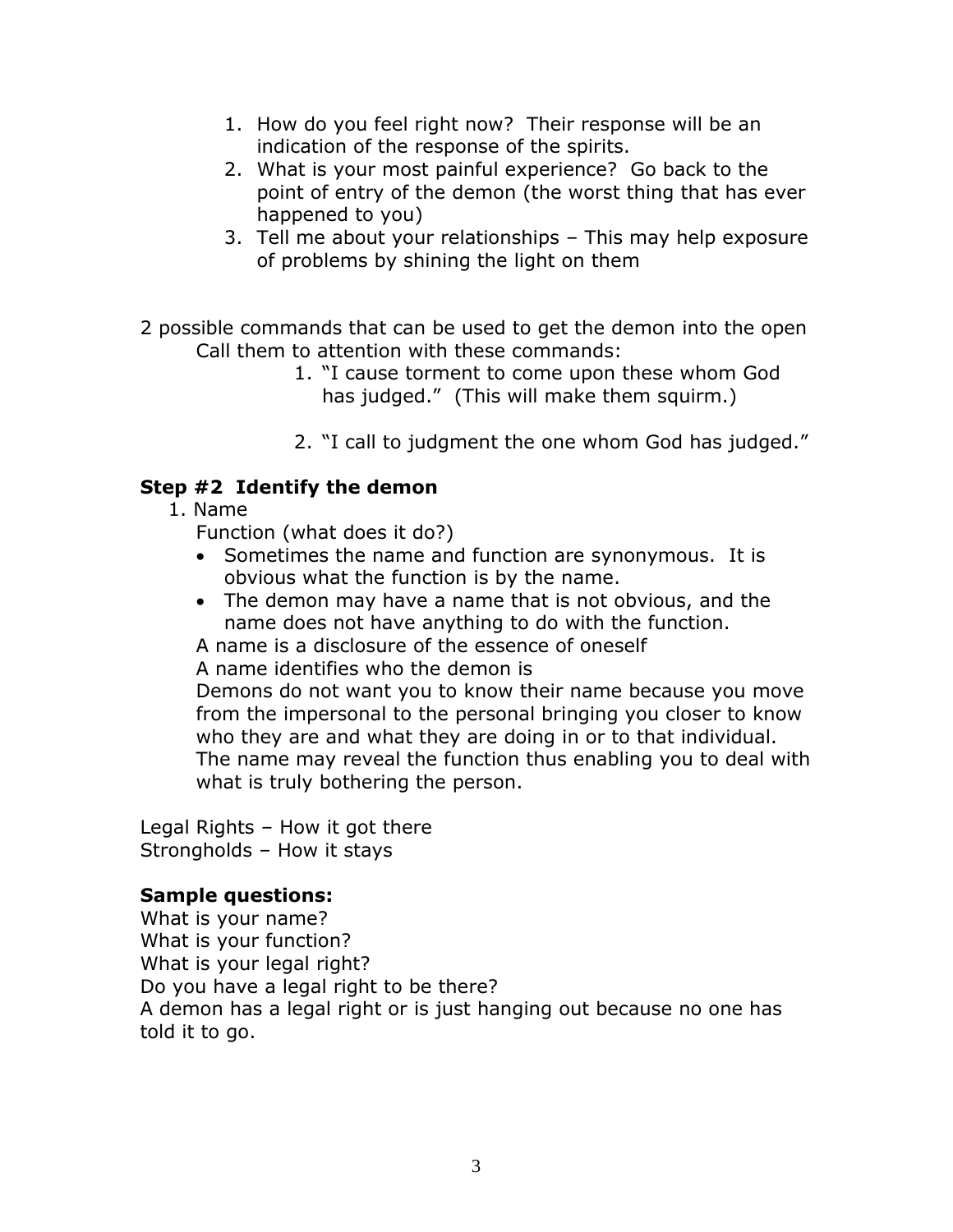- 1. How do you feel right now? Their response will be an indication of the response of the spirits.
- 2. What is your most painful experience? Go back to the point of entry of the demon (the worst thing that has ever happened to you)
- 3. Tell me about your relationships This may help exposure of problems by shining the light on them
- 2 possible commands that can be used to get the demon into the open Call them to attention with these commands:
	- 1. "I cause torment to come upon these whom God has judged." (This will make them squirm.)
	- 2. "I call to judgment the one whom God has judged."

#### **Step #2 Identify the demon**

1. Name

Function (what does it do?)

- Sometimes the name and function are synonymous. It is obvious what the function is by the name.
- The demon may have a name that is not obvious, and the name does not have anything to do with the function.
- A name is a disclosure of the essence of oneself

A name identifies who the demon is

Demons do not want you to know their name because you move from the impersonal to the personal bringing you closer to know who they are and what they are doing in or to that individual. The name may reveal the function thus enabling you to deal with what is truly bothering the person.

Legal Rights – How it got there Strongholds – How it stays

# **Sample questions:**

What is your name? What is your function? What is your legal right? Do you have a legal right to be there? A demon has a legal right or is just hanging out because no one has told it to go.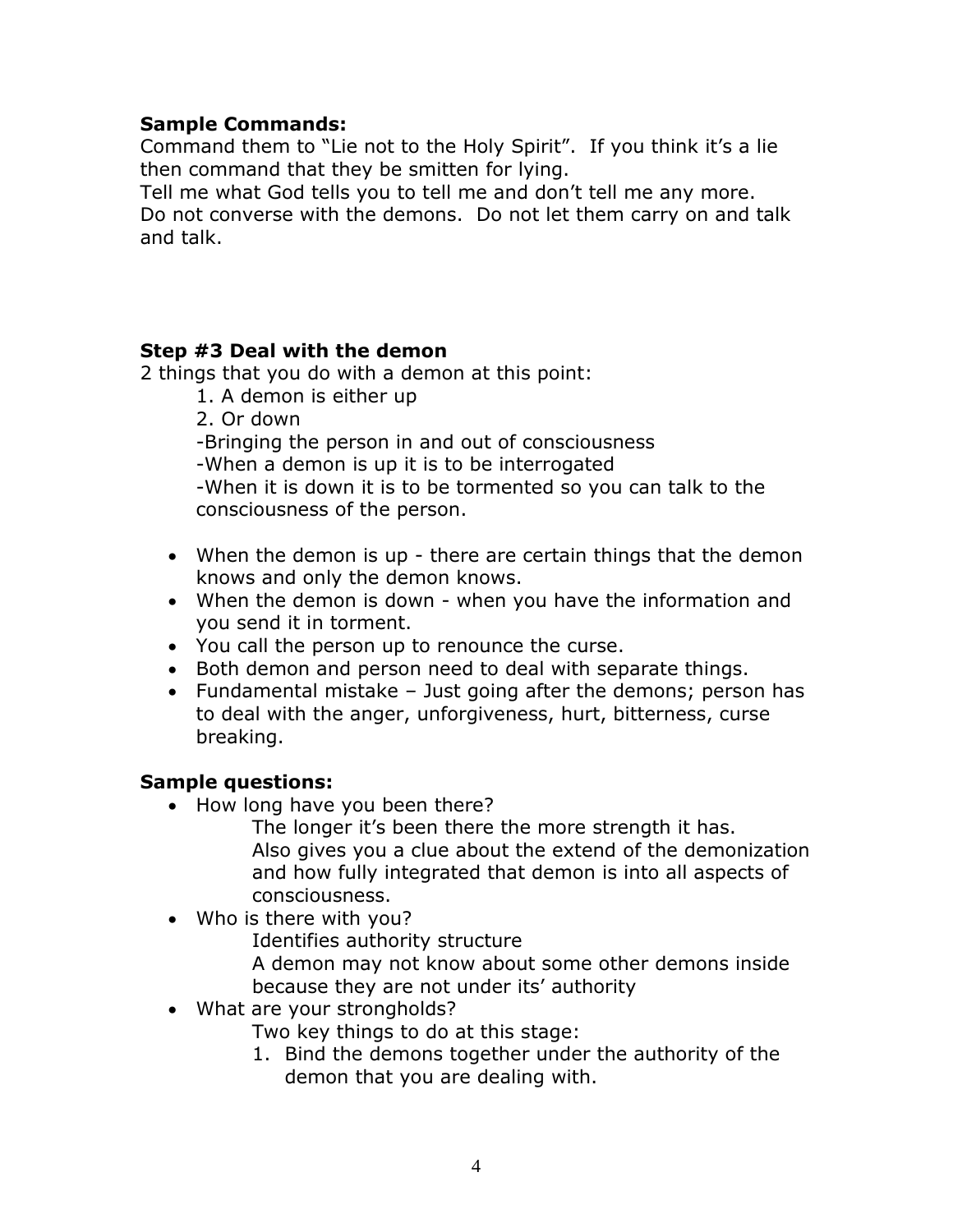#### **Sample Commands:**

Command them to "Lie not to the Holy Spirit". If you think it's a lie then command that they be smitten for lying.

Tell me what God tells you to tell me and don't tell me any more. Do not converse with the demons. Do not let them carry on and talk and talk.

#### **Step #3 Deal with the demon**

2 things that you do with a demon at this point:

- 1. A demon is either up
- 2. Or down

-Bringing the person in and out of consciousness

-When a demon is up it is to be interrogated

-When it is down it is to be tormented so you can talk to the consciousness of the person.

- When the demon is up there are certain things that the demon knows and only the demon knows.
- When the demon is down when you have the information and you send it in torment.
- You call the person up to renounce the curse.
- Both demon and person need to deal with separate things.
- Fundamental mistake Just going after the demons; person has to deal with the anger, unforgiveness, hurt, bitterness, curse breaking.

# **Sample questions:**

• How long have you been there?

The longer it's been there the more strength it has. Also gives you a clue about the extend of the demonization and how fully integrated that demon is into all aspects of consciousness.

• Who is there with you?

Identifies authority structure

A demon may not know about some other demons inside because they are not under its' authority

• What are your strongholds?

Two key things to do at this stage:

1. Bind the demons together under the authority of the demon that you are dealing with.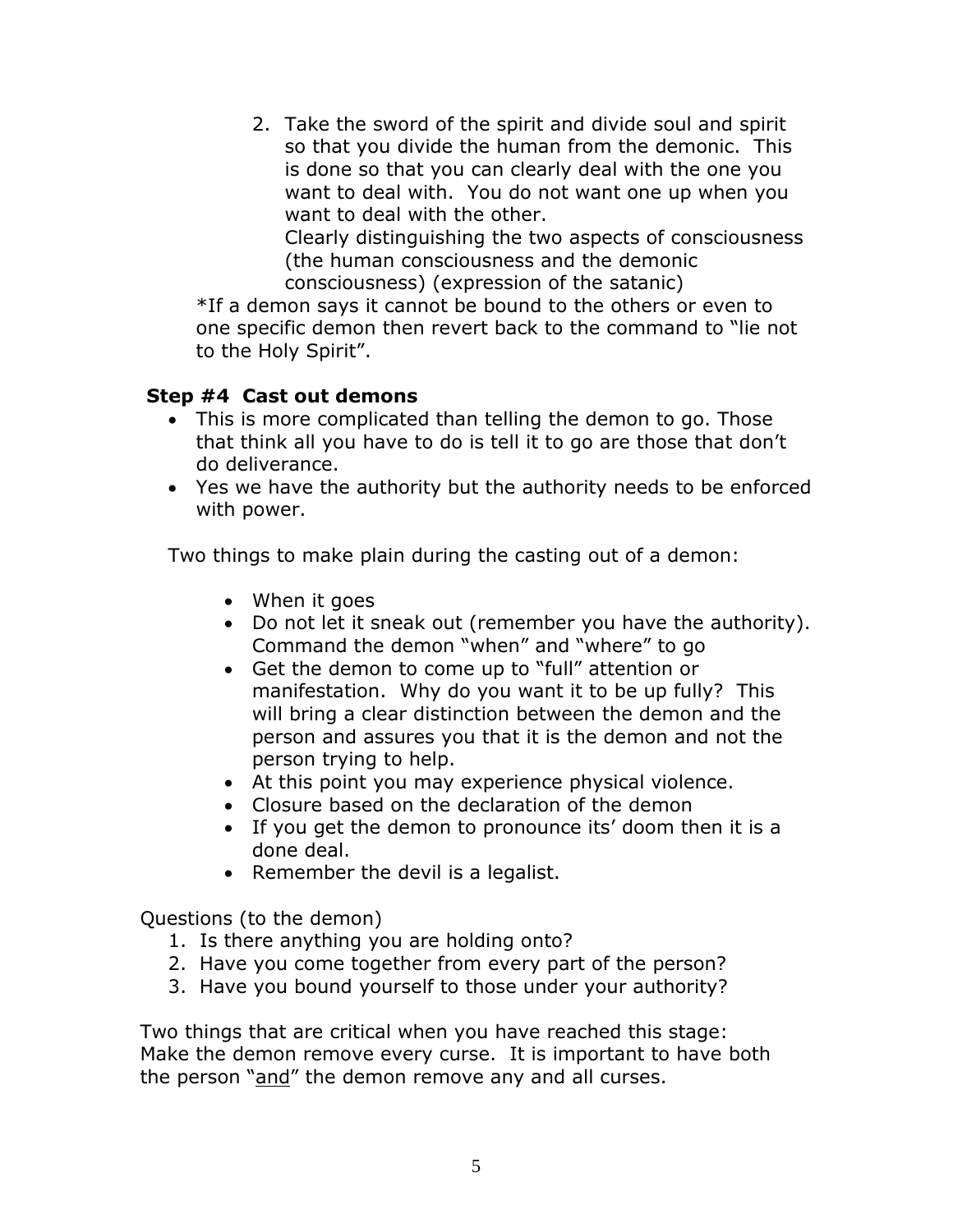2. Take the sword of the spirit and divide soul and spirit so that you divide the human from the demonic. This is done so that you can clearly deal with the one you want to deal with. You do not want one up when you want to deal with the other. Clearly distinguishing the two aspects of consciousness (the human consciousness and the demonic consciousness) (expression of the satanic)

\*If a demon says it cannot be bound to the others or even to one specific demon then revert back to the command to "lie not to the Holy Spirit".

#### **Step #4 Cast out demons**

- This is more complicated than telling the demon to go. Those that think all you have to do is tell it to go are those that don't do deliverance.
- Yes we have the authority but the authority needs to be enforced with power.

Two things to make plain during the casting out of a demon:

- When it goes
- Do not let it sneak out (remember you have the authority). Command the demon "when" and "where" to go
- Get the demon to come up to "full" attention or manifestation. Why do you want it to be up fully? This will bring a clear distinction between the demon and the person and assures you that it is the demon and not the person trying to help.
- At this point you may experience physical violence.
- Closure based on the declaration of the demon
- If you get the demon to pronounce its' doom then it is a done deal.
- Remember the devil is a legalist.

Questions (to the demon)

- 1. Is there anything you are holding onto?
- 2. Have you come together from every part of the person?
- 3. Have you bound yourself to those under your authority?

Two things that are critical when you have reached this stage: Make the demon remove every curse. It is important to have both the person "and" the demon remove any and all curses.